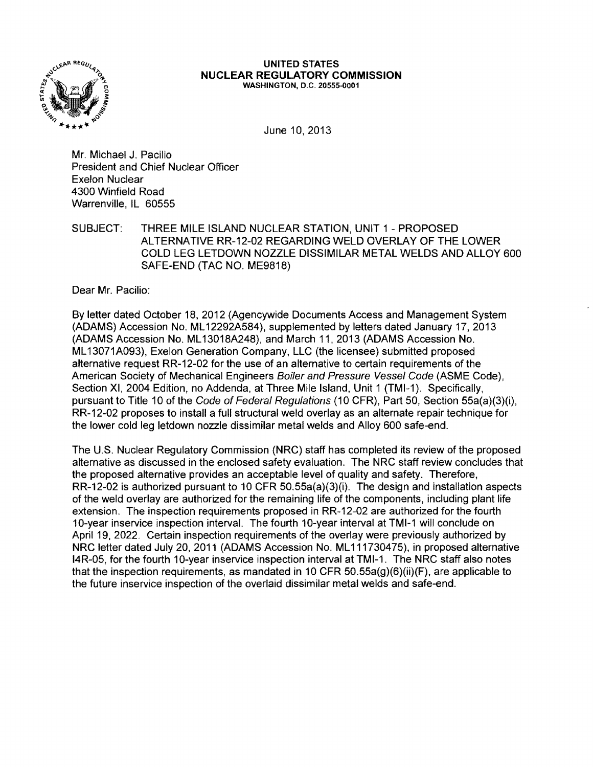

#### **UNITED STATES NUCLEAR REGULATORY COMMISSION** WASHINGTON, D.C. 20555-0001

June 10,2013

Mr. Michael J. Pacilio President and Chief Nuclear Officer Exelon Nuclear 4300 Winfield Road Warrenville, IL 60555

SUBJECT: THREE MILE ISLAND NUCLEAR STATION, UNIT 1 - PROPOSED ALTERNATIVE RR-12-02 REGARDING WELD OVERLAY OF THE LOWER COLD LEG LETDOWN NOZZLE DISSIMILAR METAL WELDS AND ALLOY 600 SAFE-END (TAC NO. ME9818)

Dear Mr. Pacilio:

By letter dated O'ctober 18, 2012 (Agencywide Documents Access and Management System (ADAMS) Accession No. ML 12292A584), supplemented by letters dated January 17, 2013 (ADAMS Accession No. ML 13018A248), and March 11,2013 (ADAMS Accession No. ML 13071A093), Exelon Generation Company, LLC (the licensee) submitted proposed alternative request RR-12-02 for the use of an alternative to certain requirements of the American Society of Mechanical Engineers Boiler and Pressure Vessel Code (ASME Code), Section XI, 2004 Edition, no Addenda, at Three Mile Island, Unit 1 (TMI-1). Specifically, pursuant to Title 10 of the Code of Federal Regulations (10 CFR), Part 50, Section 55a(a)(3)(i), RR-12-02 proposes to install a full structural weld overlay as an alternate repair technique for the lower cold leg letdown nozzle dissimilar metal welds and Alloy 600 safe-end.

The U.S. Nuclear Regulatory Commission (NRC) staff has completed its review of the proposed alternative as discussed in the enclosed safety evaluation. The NRC staff review concludes that the proposed alternative provides an acceptable level of quality and safety. Therefore, RR-12-02 is authorized pursuant to 10 CFR 50.55a(a)(3)(i). The design and installation aspects of the weld overlay are authorized for the remaining life of the components, including plant life extension. The inspection requirements proposed in RR-12-02 are authorized for the fourth 10-year inservice inspection interval. The fourth 10-year interval at TMI-1 will conclude on April 19, 2022. Certain inspection requirements of the overlay were previously authorized by NRC letter dated July 20, 2011 (ADAMS Accession No. ML111730475), in proposed alternative 14R-05, for the fourth 10-year inservice inspection interval at TMI-1. The NRC staff also notes that the inspection requirements, as mandated in 10 CFR 50.55a(g)(6)(ii)(F), are applicable to the future inservice inspection of the overlaid dissimilar metal welds and safe-end.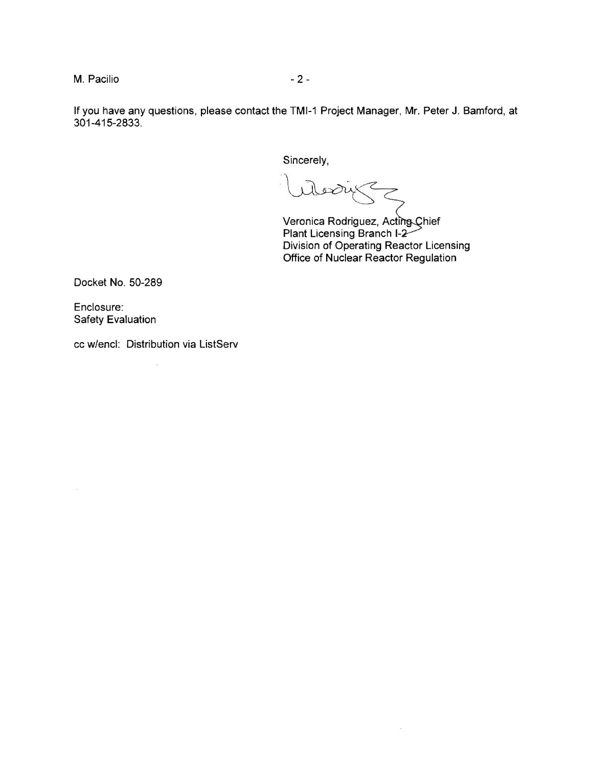M. Pacilio  $-2-$ 

If you have any questions, please contact the TMI-1 Project Manager, Mr. Peter J. Bamford, at 301-415-2833.

Sincerely,

ىن م

Veronica Rodriguez, Acting Chief **Plant Licensing Branch I** Division of Operating Reactor Licensing Office of Nuclear Reactor Regulation

 $\omega$ 

Docket No. 50-289

Enclosure: Safety Evaluation

 $\mathcal{A}^{\pm}$ 

cc w/encl: Distribution via ListServ  $\bar{\tau}$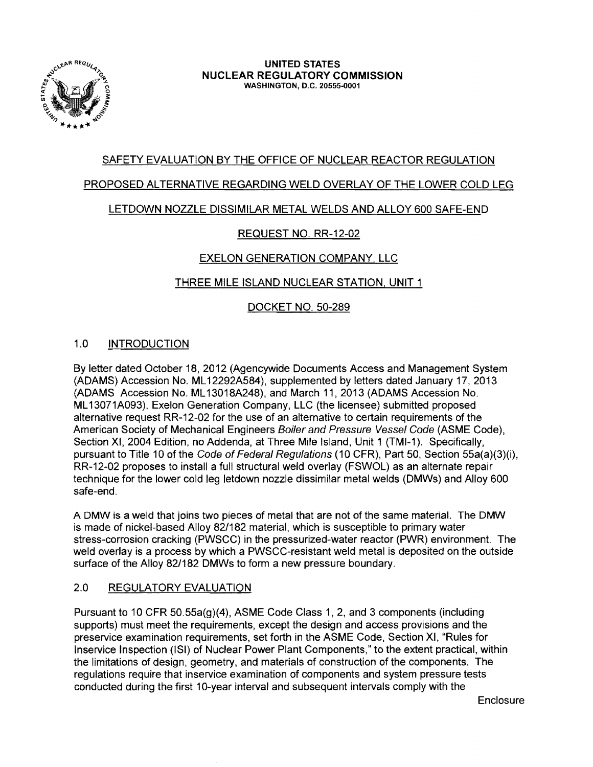

# SAFETY EVALUATION BY THE OFFICE OF NUCLEAR REACTOR REGULATION

## PROPOSED ALTERNATIVE REGARDING WELD OVERLAY OF THE LOWER COLD LEG

## LETDOWN NOZZLE DISSIMILAR METAL WELDS AND ALLOY 600 SAFE-END

## REQUEST NO. RR-12-02

## EXELON GENERATION COMPANY, LLC

## THREE MILE ISLAND NUCLEAR STATION, UNIT 1

## DOCKET NO. 50-289

## 1.0 INTRODUCTION

By letter dated October 18,2012 (Agencywide Documents Access and Management System (ADAMS) Accession No. ML 12292A584), supplemented by letters dated January 17, 2013 (ADAMS Accession No. ML 13018A248), and March 11, 2013 (ADAMS Accession No. ML 13071A093), Exelon Generation Company, LLC (the licensee) submitted proposed alternative request RR-12-02 for the use of an alternative to certain requirements of the American Society of Mechanical Engineers Boiler and Pressure Vessel Code (ASME Code), Section XI, 2004 Edition, no Addenda, at Three Mile Island, Unit 1 (TMI-1). Specifically, pursuant to Title 10 of the Code of Federal Regulations (10 CFR), Part 50, Section 55a(a)(3)(i), RR-12-02 proposes to install a full structural weld overlay (FSWOL) as an alternate repair technique for the lower cold leg letdown nozzle dissimilar metal welds (DMWs) and Alloy 600 safe-end.

A DMW is a weld that joins two pieces of metal that are not of the same material. The DMW is made of nickel-based Alloy 82/182 material, which is susceptible to primary water stress-corrosion cracking (PWSCC) in the pressurized-water reactor (PWR) environment. The weld overlay is a process by which a PWSCC-resistant weld metal is deposited on the outside surface of the Alloy 82/182 DMWs to form a new pressure boundary.

## 2.0 REGULATORY EVALUATION

Pursuant to 10 CFR 50.55a(g)(4), ASME Code Class 1, 2, and 3 components (including supports) must meet the requirements, except the design and access provisions and the preservice examination requirements, set forth in the ASME Code, Section XI, "Rules for Inservice Inspection (lSI) of Nuclear Power Plant Components," to the extent practical, within the limitations of design, geometry, and materials of construction of the components. The regulations require that inservice examination of components and system pressure tests conducted during the first 10-year interval and subsequent intervals comply with the

**Enclosure**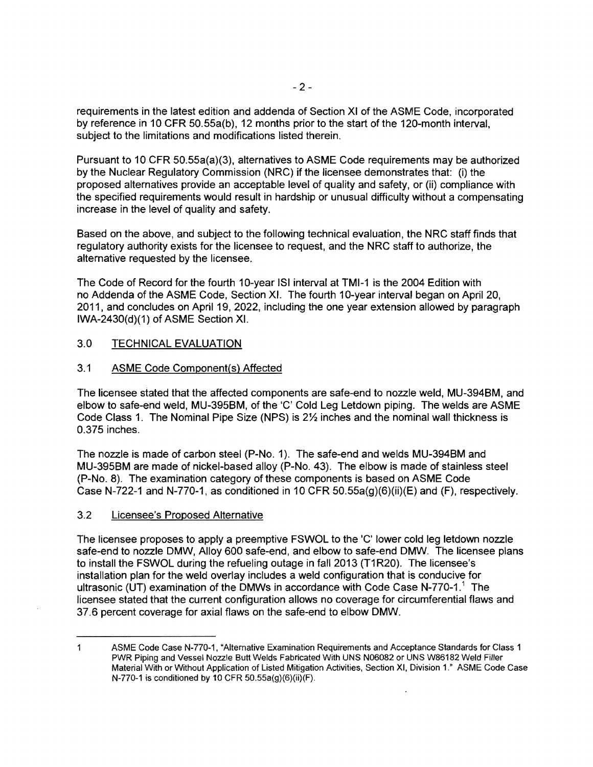requirements in the latest edition and addenda of Section XI of the ASME Code, incorporated by reference in 10 CFR 50.55a(b), 12 months prior to the start of the 120-month interval, subject to the limitations and modifications listed therein.

Pursuant to 10 CFR 50.55a(a)(3), alternatives to ASME Code requirements may be authorized by the Nuclear Regulatory Commission (NRC) if the licensee demonstrates that: (i) the proposed alternatives provide an acceptable level of quality and safety, or (ii) compliance with the specified requirements would result in hardship or unusual difficulty without a compensating increase in the level of quality and safety.

Based on the above, and subject to the following technical evaluation, the NRC staff finds that regulatory authority exists for the licensee to request, and the NRC staff to authorize, the alternative requested by the licensee.

The Code of Record for the fourth 10-year lSI interval at TMI-1 is the 2004 Edition with no Addenda of the ASME Code, Section XI. The fourth 10-year interval began on April 20, 2011, and concludes on April 19, 2022, including the one year extension allowed by paragraph IWA-2430(d)(1) of ASME Section XI.

## 3.0 TECHNICAL EVALUATION

### 3.1 ASME Code Component(s) Affected

The licensee stated that the affected components are safe-end to nozzle weld, MU-394BM, and elbow to safe-end weld, MU-395BM, of the 'C' Cold Leg Letdown piping. The welds are ASME Code Class 1. The Nominal Pipe Size (NPS) is  $2\frac{1}{2}$  inches and the nominal wall thickness is 0.375 inches.

The nozzle is made of carbon steel (P-No. 1). The safe-end and welds MU-394BM and MU-395BM are made of nickel-based alloy (P-No. 43). The elbow is made of stainless steel (P-No. 8). The examination category of these components is based on ASME Code Case N-722-1 and N-770-1, as conditioned in 10 CFR  $50.55a(g)(6)(ii)(E)$  and (F), respectively.

### 3.2 Licensee's Proposed Alternative

The licensee proposes to apply a preemptive FSWOL to the 'C' lower cold leg letdown nozzle safe-end to nozzle DMW, Alloy 600 safe-end, and elbow to safe-end DMW. The licensee plans to install the FSWOL during the refueling outage in fall 2013 (T1R20). The licensee's installation plan for the weld overlay includes a weld configuration that is conducive for ultrasonic (UT) examination of the DMWs in accordance with Code Case N-770-1.<sup>1</sup> The licensee stated that the current configuration allows no coverage for circumferential flaws and 37.6 percent coverage for axial flaws on the safe-end to elbow DMW.

 $\mathbf{1}$ ASME Code Case N-770-1. "Alternative Examination Requirements and Acceptance Standards for Class 1 PWR Piping and Vessel Nozzle Butt Welds Fabricated With UNS N06082 or UNS W86182 Weld Filler Material With or Without Application of Listed Mitigation Activities, Section XI, Division 1." ASME Code Case N-770-1 is conditioned by 10 CFR SO.S5a(g)(6)(ii)(F).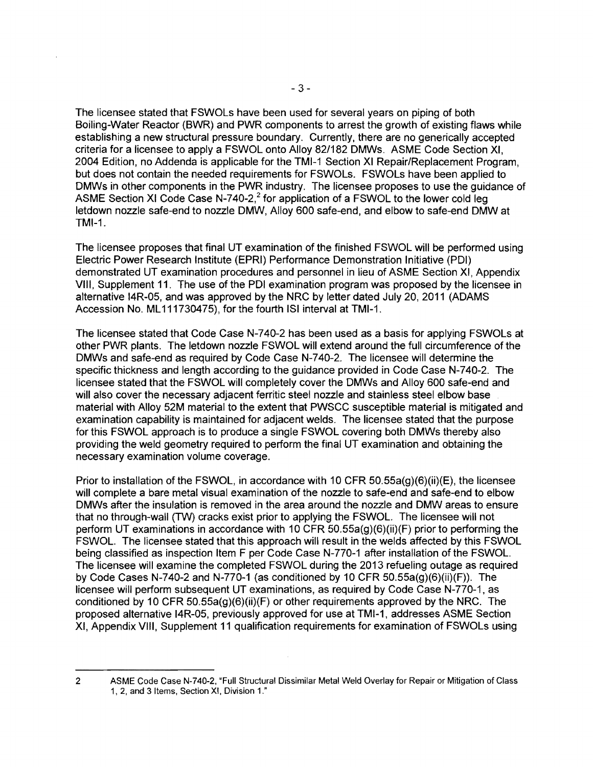The licensee stated that FSWOLs have been used for several years on piping of both Boiling-Water Reactor (BWR) and PWR components to arrest the growth of existing flaws while establishing a new structural pressure boundary. Currently, there are no generically accepted criteria for a licensee to apply a FSWOL onto Alloy 82/182 DMWs. ASME Code Section XI, 2004 Edition, no Addenda is applicable for the TMI-1 Section XI Repair/Replacement Program, but does not contain the needed requirements for FSWOLs. FSWOLs have been applied to DMWs in other components in the PWR industry. The licensee proposes to use the guidance of ASME Section XI Code Case N-740-2,<sup>2</sup> for application of a FSWOL to the lower cold leg letdown nozzle safe-end to nozzle DMW, Alloy 600 safe-end, and elbow to safe-end DMWat TMI-1.

The licensee proposes that final UT examination of the finished FSWOL will be performed using Electric Power Research Institute (EPRI) Performance Demonstration Initiative (PDI) demonstrated UT examination procedures and personnel in lieu of ASME Section XI, Appendix VIII, Supplement 11. The use of the PDI examination program was proposed by the licensee in alternative 14R-05, and was approved by the NRC by letter dated July 20, 2011 (ADAMS Accession No. ML 111730475), for the fourth lSI interval at TMI-1.

The licensee stated that Code Case N-740-2 has been used as a basis for applying FSWOLs at other PWR plants. The letdown nozzle FSWOL will extend around the full circumference of the DMWs and safe-end as required by Code Case N-740-2. The licensee will determine the specific thickness and length according to the guidance provided in Code Case N-740-2. The licensee stated that the FSWOL will completely cover the DMWs and Alloy 600 safe-end and will also cover the necessary adjacent ferritic steel nozzle and stainless steel elbow base material with Alloy 52M material to the extent that PWSCC susceptible material is mitigated and examination capability is maintained for adjacent welds. The licensee stated that the purpose for this FSWOL approach is to produce a single FSWOL covering both DMWs thereby also providing the weld geometry required to perform the final UT examination and obtaining the necessary examination volume coverage.

Prior to installation of the FSWOL, in accordance with 10 CFR 50.55a(g)(6)(ii)(E), the licensee will complete a bare metal visual examination of the nozzle to safe-end and safe-end to elbow DMWs after the insulation is removed in the area around the nozzle and DMW areas to ensure that no through-wall (TW) cracks exist prior to applying the FSWOL. The licensee will not perform UT examinations in accordance with 10 CFR 50.55a(g)(6)(ii)(F) prior to performing the FSWOL. The licensee stated that this approach will result in the welds affected by this FSWOL being classified as inspection Item F per Code Case N-770-1 after installation of the FSWOL. The licensee will examine the completed FSWOL during the 2013 refueling outage as required by Code Cases N-740-2 and N-770-1 (as conditioned by 10 CFR  $50.55a(g)(6)(ii)(F)$ ). The licensee will perform subsequent UT examinations, as required by Code Case N-770-1, as conditioned by 10 CFR 50.55a(g)(6)(ii)(F) or other requirements approved by the NRC. The proposed alternative 14R-05, previously approved for use at TMI-1, addresses ASME Section XI, Appendix VIII, Supplement 11 qualification requirements for examination of FSWOLs using

2

ASME Code Case N-740-2, "Full Structural Dissimilar Metal Weld Overlay for Repair or Mitigation of Class 1, 2, and 3 Items, Section XI, Division 1."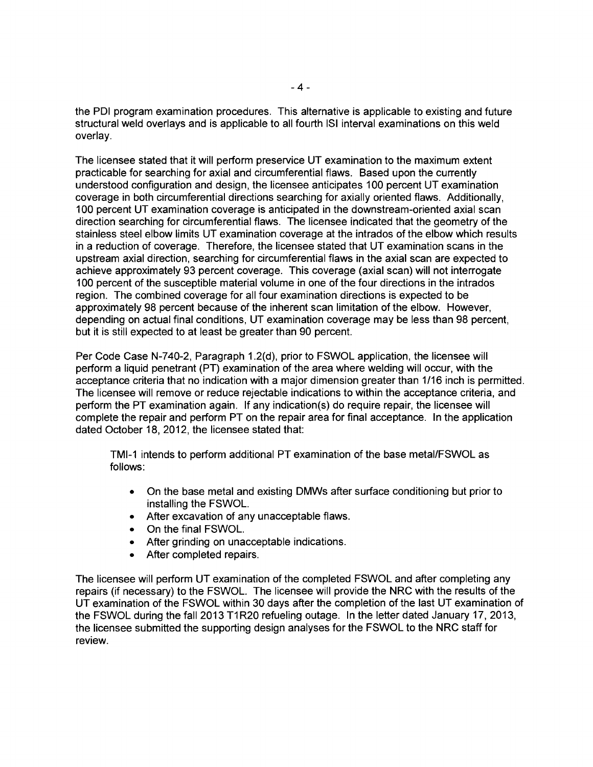the PDI program examination procedures. This alternative is applicable to existing and future structural weld overlays and is applicable to all fourth lSI interval examinations on this weld overlay.

The licensee stated that it will perform preservice UT examination to the maximum extent practicable for searching for axial and circumferential flaws. Based upon the currently understood configuration and design, the licensee anticipates 100 percent UT examination coverage in both circumferential directions searching for axially oriented flaws. Additionally, 100 percent UT examination coverage is anticipated in the downstream-oriented axial scan direction searching for circumferential flaws. The licensee indicated that the geometry of the stainless steel elbow limits UT examination coverage at the intrados of the elbow which results in a reduction of coverage. Therefore, the licensee stated that UT examination scans in the upstream axial direction, searching for circumferential flaws in the axial scan are expected to achieve approximately 93 percent coverage. This coverage (axial scan) will not interrogate 100 percent of the susceptible material volume in one of the four directions in the intrados region. The combined coverage for all four examination directions is expected to be approximately 98 percent because of the inherent scan limitation of the elbow. However, depending on actual final conditions, UT examination coverage may be less than 98 percent, but it is still expected to at least be greater than 90 percent.

Per Code Case N-740-2, Paragraph 1.2(d), prior to FSWOL application, the licensee will perform a liquid penetrant (PT) examination of the area where welding will occur, with the acceptance criteria that no indication with a major dimension greater than 1/16 inch is permitted. The licensee will remove or reduce rejectable indications to within the acceptance criteria, and perform the PT examination again. If any indication(s) do require repair, the licensee will complete the repair and perform PT on the repair area for final acceptance. In the application dated October 18, 2012, the licensee stated that:

TMI-1 intends to perform additional PT examination of the base metal/FSWOL as follows:

- On the base metal and existing DMWs after surface conditioning but prior to installing the FSWOL.
- After excavation of any unacceptable flaws.
- On the final FSWOL.
- After grinding on unacceptable indications.
- After completed repairs.

The licensee will perform UT examination of the completed FSWOL and after completing any repairs (if necessary) to the FSWOL. The licensee will provide the NRC with the results of the UT examination of the FSWOL within 30 days after the completion of the last UT examination of the FSWOL during the fall 2013 T1R20 refueling outage. In the letter dated January 17, 2013, the licensee submitted the supporting design analyses for the FSWOL to the NRC staff for review.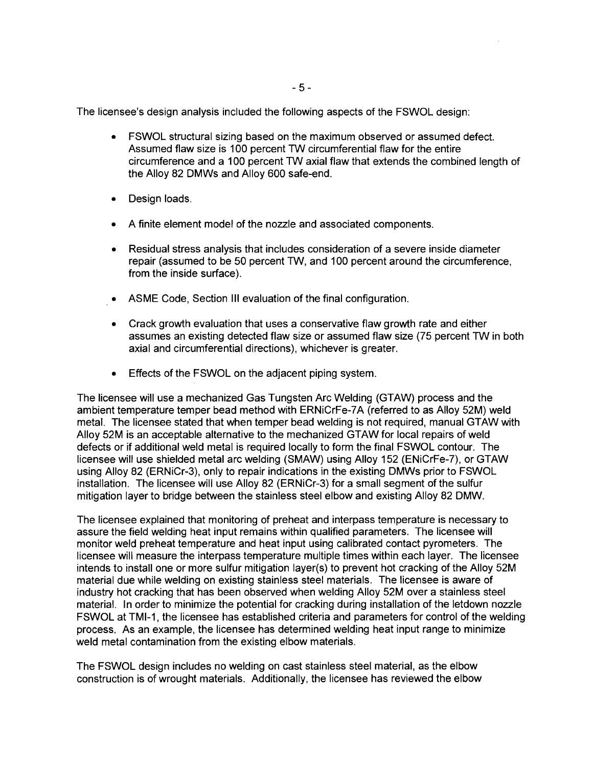The licensee's design analysis included the following aspects of the FSWOL design:

- FSWOL structural sizing based on the maximum observed or assumed defect. Assumed flaw size is 100 percent TW circumferential flaw for the entire circumference and a 100 percent TW axial flaw that extends the combined length of the Alloy 82 DMWs and Alloy 600 safe-end.
- Design loads.
- A finite element model of the nozzle and associated components.
- Residual stress analysis that includes consideration of a severe inside diameter repair (assumed to be 50 percent TW, and 100 percent around the circumference, from the inside surface).
- ASME Code, Section III evaluation of the final configuration.
- Crack growth evaluation that uses a conservative flaw growth rate and either assumes an existing detected flaw size or assumed flaw size (75 percent TW in both axial and circumferential directions), whichever is greater.
- Effects of the FSWOL on the adjacent piping system.

The licensee will use a mechanized Gas Tungsten Arc Welding (GTAW) process and the ambient temperature temper bead method with ERNiCrFe-7A (referred to as Alloy 52M) weld metal. The licensee stated that when temper bead welding is not required, manual GTAW with Alloy 52M is an acceptable alternative to the mechanized GTAW for local repairs of weld defects or if additional weld metal is required locally to form the final FSWOL contour. The licensee will use shielded metal arc welding (SMAW) using Alloy 152 (ENiCrFe-7), or GTAW using Alloy 82 (ERNiCr-3), only to repair indications in the existing DMWs prior to FSWOL installation. The licensee will use Alloy 82 (ERNiCr-3) for a small segment of the sulfur mitigation layer to bridge between the stainless steel elbow and existing Alloy 82 DMW.

The licensee explained that monitoring of preheat and interpass temperature is necessary to assure the field welding heat input remains within qualified parameters. The licensee will monitor weld preheat temperature and heat input using calibrated contact pyrometers. The licensee will measure the interpass temperature multiple times within each layer. The licensee intends to install one or more sulfur mitigation layer(s) to prevent hot cracking of the Alloy 52M material due while welding on existing stainless steel materials. The licensee is aware of industry hot cracking that has been observed when welding Alloy 52M over a stainless steel material. In order to minimize the potential for cracking during installation of the letdown nozzle FSWOL at TMI-1, the licensee has established criteria and parameters for control of the welding process. As an example, the licensee has determined welding heat input range to minimize weld metal contamination from the existing elbow materials.

The FSWOL design includes no welding on cast stainless steel material, as the elbow construction is of wrought materials. Additionally, the licensee has reviewed the elbow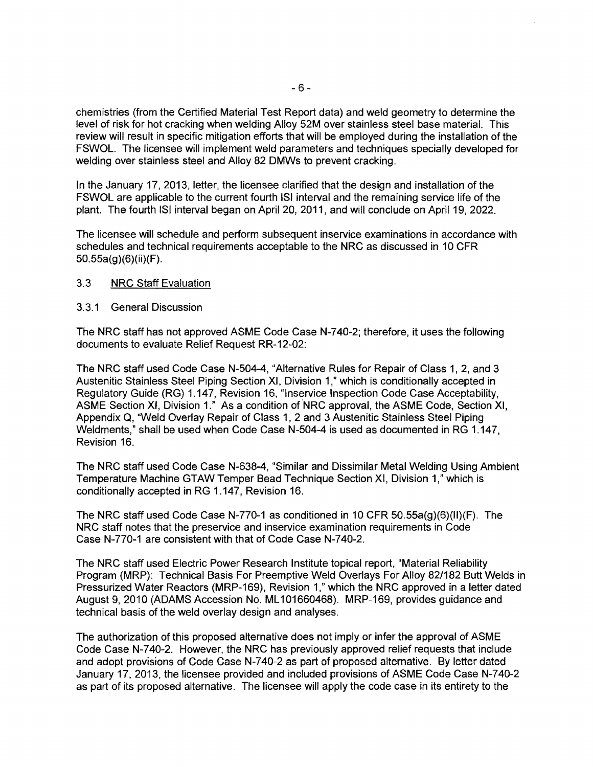chemistries (from the Certified Material Test Report data) and weld geometry to determine the level of risk for hot cracking when welding Alloy 52M over stainless steel base material. This review will result in specific mitigation efforts that will be employed during the installation of the FSWOL. The licensee will implement weld parameters and techniques specially developed for welding over stainless steel and Alloy 82 DMWs to prevent cracking.

In the January 17, 2013, letter, the licensee clarified that the design and installation of the FSWOL are applicable to the current fourth lSI interval and the remaining service life of the plant. The fourth lSI interval began on April 20, 2011, and will conclude on April 19, 2022.

The licensee will schedule and perform subsequent inservice examinations in accordance with schedules and technical requirements acceptable to the NRC as discussed in 10 CFR 50.55a(g)(6)(ii)(F).

### 3.3 NRC Staff Evaluation

#### 3.3.1 General Discussion

The NRC staff has not approved ASME Code Case N-740-2; therefore, it uses the following documents to evaluate Relief Request RR-12-02:

The NRC staff used Code Case N-504-4, "Alternative Rules for Repair of Class 1, 2, and 3 Austenitic Stainless Steel Piping Section XI, Division 1,<sup>n</sup> which is conditionally accepted in Regulatory Guide (RG) 1.147, Revision 16, "Inservice Inspection Code Case Acceptability, ASME Section XI, Division 1." As a condition of NRC approval, the ASME Code, Section XI, Appendix A, "Weld Overlay Repair of Class 1, 2 and 3 Austenitic Stainless Steel Piping Weldments," shall be used when Code Case N-504-4 is used as documented in RG 1.147, Revision 16.

The NRC staff used Code Case N-638-4, "Similar and Dissimilar Metal Welding Using Ambient Temperature Machine GTAWTemper Bead Technique Section XI, Division 1," which is conditionally accepted in RG 1.147, Revision 16.

The NRC staff used Code Case N-770-1 as conditioned in 10 CFR 50.55a(g)(6)(II)(F). The NRC staff notes that the preservice and inservice examination requirements in Code Case N-770-1 are consistent with that of Code Case N-740-2.

The NRC staff used Electric Power Research Institute topical report, "Material Reliability Program (MRP): Technical Basis For Preemptive Weld Overlays For Alloy 82/182 Butt Welds in Pressurized Water Reactors (MRP-169), Revision 1," which the NRC approved in a letter dated August 9,2010 (ADAMS Accession No. ML 101660468). MRP-169, provides guidance and technical basis of the weld overlay design and analyses.

The authorization of this proposed alternative does not imply or infer the approval of ASME Code Case N-740-2. However, the NRC has previously approved relief requests that include and adopt provisions of Code Case N-740-2 as part of proposed alternative. By letter dated January 17, 2013, the licensee provided and included provisions of ASME Code Case N-740-2 as part of its proposed alternative. The licensee will apply the code case in its entirety to the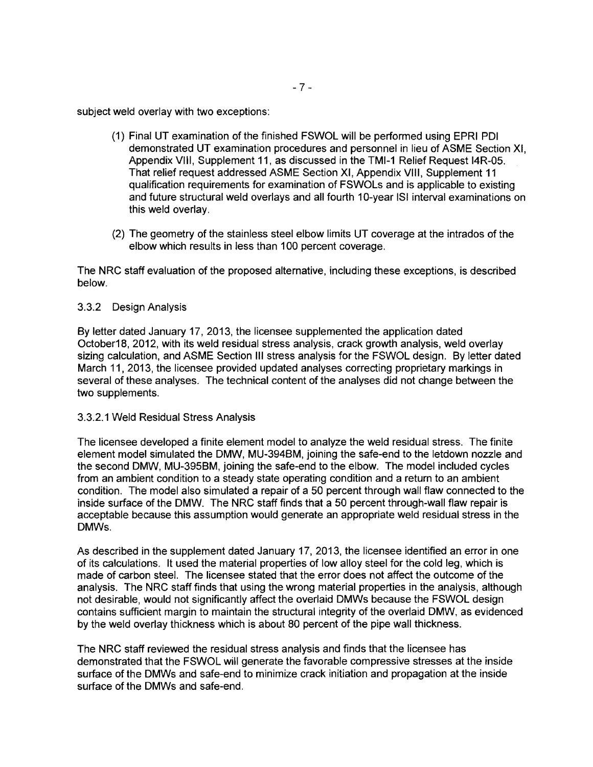subject weld overlay with two exceptions:

- (1) Final UT examination of the finished FSWOL will be performed using EPRI PDI demonstrated UT examination procedures and personnel in lieu of ASME Section XI, Appendix VIII, Supplement 11, as discussed in the TMI-1 Relief Request 14R-05. That relief request addressed ASME Section XI, Appendix VIII, Supplement 11 qualification requirements for examination of FSWOLs and is applicable to existing and future structural weld overlays and all fourth 10-year 151 interval examinations on this weld overlay.
- (2) The geometry of the stainless steel elbow limits UT coverage at the intrados of the elbow which results in less than 100 percent coverage.

The NRC staff evaluation of the proposed alternative, including these exceptions, is described below.

### 3.3.2 Design Analysis

By letter dated January 17,2013, the licensee supplemented the application dated October1B, 2012, with its weld residual stress analysis, crack growth analysis, weld overlay sizing calculation, and ASME Section III stress analysis for the FSWOL design. By letter dated March 11, 2013, the licensee provided updated analyses correcting proprietary markings in several of these analyses. The technical content of the analyses did not change between the two supplements.

### 3.3.2.1 Weld Residual Stress Analysis

The licensee developed a finite element model to analyze the weld residual stress. The finite element model simulated the DMW, MU-394BM, joining the safe-end to the letdown nozzle and the second DMW, MU-395BM, joining the safe-end to the elbow. The model included cycles from an ambient condition to a steady state operating condition and a return to an ambient condition. The model also simulated a repair of a 50 percent through wall flaw connected to the inside surface of the DMW. The NRC staff finds that a 50 percent through-wall flaw repair is acceptable because this assumption would generate an appropriate weld residual stress in the DMWs.

As described in the supplement dated January 17, 2013, the licensee identified an error in one of its calculations. It used the material properties of low alloy steel for the cold leg, which is made of carbon steel. The licensee stated that the error does not affect the outcome of the analysis. The NRC staff finds that using the wrong material properties in the analysis, although not desirable, would not Significantly affect the overlaid DMWs because the FSWOL design contains sufficient margin to maintain the structural integrity of the overlaid DMW, as evidenced by the weld overlay thickness which is about BO percent of the pipe wall thickness.

The NRC staff reviewed the residual stress analysis and finds that the licensee has demonstrated that the FSWOL will generate the favorable compressive stresses at the inside surface of the DMWs and safe-end to minimize crack initiation and propagation at the inside surface of the DMWs and safe-end.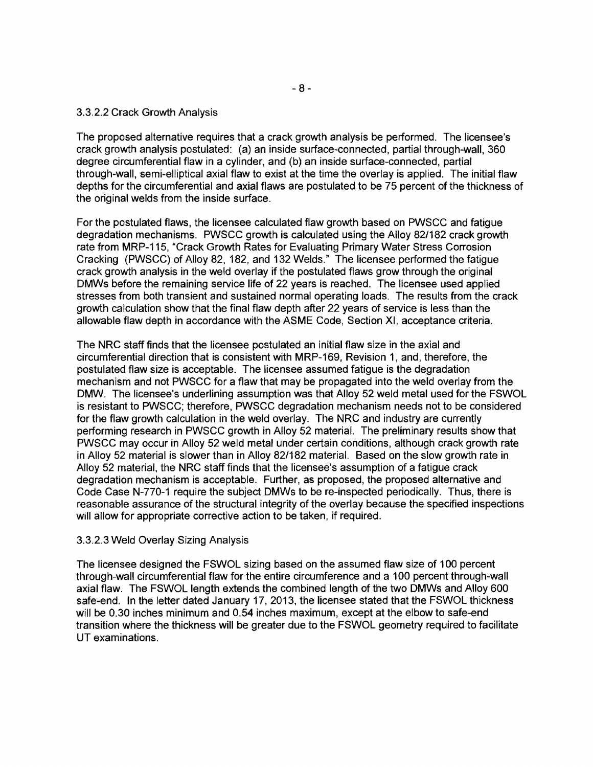### 3.3.2.2 Crack Growth Analysis

The proposed alternative requires that a crack growth analysis be performed. The licensee's crack growth analysis postulated: (a) an inside surface-connected, partial through-wall, 360 degree circumferential flaw in a cylinder, and (b) an inside surface-connected, partial through-wall, semi-elliptical axial flaw to exist at the time the overlay is applied. The initial flaw depths for the circumferential and axial flaws are postulated to be 75 percent of the thickness of the original welds from the inside surface.

For the postulated flaws, the licensee calculated flaw growth based on PWSCC and fatigue degradation mechanisms. PWSCC growth is calculated using the Alloy 82/182 crack growth rate from MRP-115, "Crack Growth Rates for Evaluating Primary Water Stress Corrosion Cracking (PWSCC) of Alloy 82, 182, and 132 Welds." The licensee performed the fatigue crack growth analysis in the weld overlay if the postulated flaws grow through the original DMWs before the remaining service life of 22 years is reached. The licensee used applied stresses from both transient and sustained normal operating loads. The results from the crack growth calculation show that the final flaw depth after 22 years of service is less than the allowable flaw depth in accordance with the ASME Code, Section XI, acceptance criteria.

The NRC staff finds that the licensee postulated an initial flaw size in the axial and circumferential direction that is consistent with MRP-169, Revision 1, and, therefore, the postulated flaw size is acceptable. The licensee assumed fatigue is the degradation mechanism and not PWSCC for a flaw that may be propagated into the weld overlay from the DMW. The licensee's underlining assumption was that Alloy 52 weld metal used for the FSWOL is resistant to PWSCC; therefore, PWSCC degradation mechanism needs not to be considered for the flaw growth calculation in the weld overlay. The NRC and industry are currently performing research in PWSCC growth in Alloy 52 material. The preliminary results show that PWSCC may occur in Alloy 52 weld metal under certain conditions, although crack growth rate in Alloy 52 material is slower than in Alloy 82/182 material. Based on the slow growth rate in Alloy 52 material, the NRC staff finds that the licensee's assumption of a fatigue crack degradation mechanism is acceptable. Further, as proposed, the proposed alternative and Code Case N-770-1 require the subject DMWs to be re-inspected periodically. Thus, there is reasonable assurance of the structural integrity of the overlay because the specified inspections will allow for appropriate corrective action to be taken, if required.

#### 3.3.2.3 Weld Overlay Sizing Analysis

The licensee designed the FSWOL sizing based on the assumed flaw size of 100 percent through-wall circumferential flaw for the entire circumference and a 100 percent through-wall axial flaw. The FSWOL length extends the combined length of the two DMWs and Alloy 600 safe-end. In the letter dated January 17, 2013, the licensee stated that the FSWOL thickness will be 0.30 inches minimum and 0.54 inches maximum, except at the elbow to safe-end transition where the thickness will be greater due to the FSWOL geometry required to facilitate UT examinations.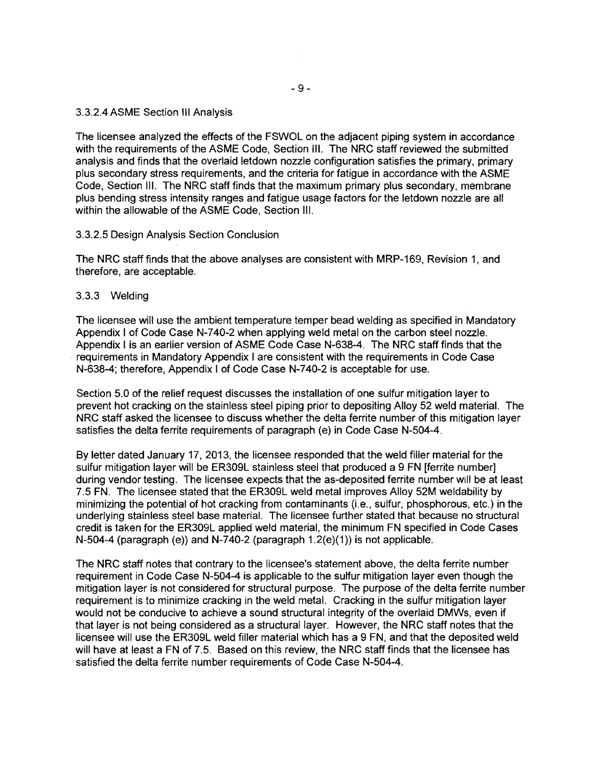3.3.2.4 ASME Section III Analysis

The licensee analyzed the effects of the FSWOL on the adjacent piping system in accordance with the requirements of the ASME Code, Section III. The NRC staff reviewed the submitted analysis and finds that the overlaid letdown nozzle configuration satisfies the primary, primary plus secondary stress requirements, and the criteria for fatigue in accordance with the ASME Code, Section III. The NRC staff finds that the maximum primary plus secondary, membrane plus bending stress intensity ranges and fatigue usage factors for the letdown nozzle are all within the allowable of the ASME Code, Section III.

#### 3.3.2.5 Design Analysis Section Conclusion

The NRC staff finds that the above analyses are consistent with MRP-169, Revision 1, and therefore, are acceptable.

#### 3.3.3 Welding

The licensee will use the ambient temperature temper bead welding as specified in Mandatory Appendix I of Code Case N-740-2 when applying weld metal on the carbon steel nozzle. Appendix I is an earlier version of ASME Code Case N-638-4. The NRC staff finds that the requirements in Mandatory Appendix I are consistent with the requirements in Code Case N-638-4; therefore, Appendix I of Code Case N-740-2 is acceptable for use.

Section 5.0 of the relief request discusses the installation of one sulfur mitigation layer to prevent hot cracking on the stainless steel piping prior to depositing Alloy 52 weld material. The NRC staff asked the licensee to discuss whether the delta ferrite number of this mitigation layer satisfies the delta ferrite requirements of paragraph (e) in Code Case N-504-4.

By letter dated January 17, 2013, the licensee responded that the weld filler material for the sulfur mitigation layer will be ER309L stainless steel that produced a 9 FN [ferrite number] during vendor testing. The licensee expects that the as-deposited ferrite number will be at least 7.5 FN. The licensee stated that the ER309L weld metal improves Alloy 52M weldability by minimizing the potential of hot cracking from contaminants (Le., sulfur, phosphorous, etc.) in the underlying stainless steel base material. The licensee further stated that because no structural credit is taken for the ER309L applied weld material, the minimum FN specified in Code Cases N-504-4 (paragraph (e)) and N-740-2 (paragraph  $1.2(e)(1)$ ) is not applicable.

The NRC staff notes that contrary to the licensee's statement above, the delta ferrite number requirement in Code Case N-504-4 is applicable to the sulfur mitigation layer even though the mitigation layer is not considered for structural purpose. The purpose of the delta ferrite number requirement is to minimize cracking in the weld metal. Cracking in the sulfur mitigation layer would not be conducive to achieve a sound structural integrity of the overlaid DMWs, even if that layer is not being considered as a structural layer. However, the NRC staff notes that the licensee will use the ER309L weld filler material which has a 9 FN, and that the deposited weld will have at least a FN of 7.5. Based on this review, the NRC staff finds that the licensee has satisfied the delta ferrite number requirements of Code Case N-504-4.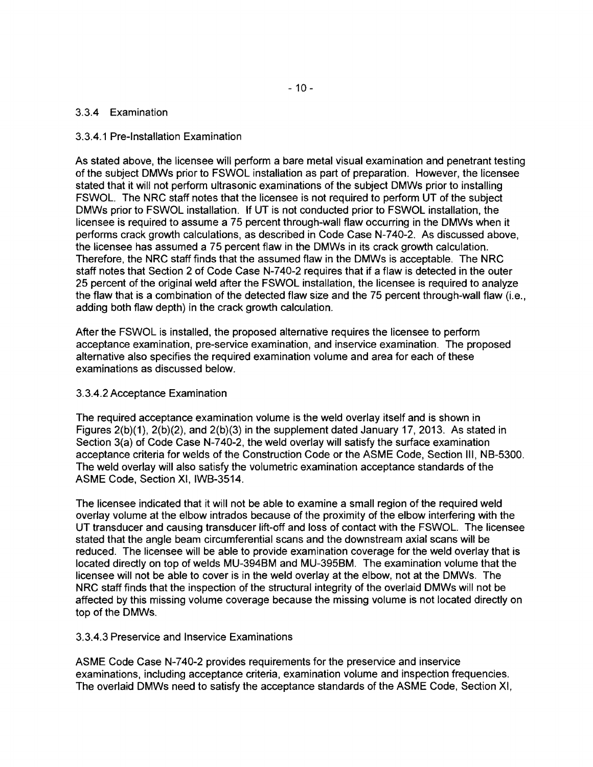### 3.3.4 Examination

### 3.3.4.1 Pre-Installation Examination

As stated above, the licensee will perform a bare metal visual examination and penetrant testing of the subject DMWs prior to FSWOL installation as part of preparation. However, the licensee stated that it will not perform ultrasonic examinations of the subject DMWs prior to installing FSWOL. The NRC staff notes that the licensee is not required to perform UT of the subject DMWs prior to FSWOL installation. If UT is not conducted prior to FSWOL installation, the licensee is required to assume a 75 percent through-wall flaw occurring in the DMWs when it performs crack growth calculations, as described in Code Case N-740-2. As discussed above, the licensee has assumed a 75 percent flaw in the DMWs in its crack growth calculation. Therefore, the NRC staff finds that the assumed flaw in the DMWs is acceptable. The NRC staff notes that Section 2 of Code Case N-740-2 requires that if a flaw is detected in the outer 25 percent of the original weld after the FSWOL installation, the licensee is required to analyze the flaw that is a combination of the detected flaw size and the 75 percent through-wall flaw (i.e., adding both flaw depth) in the crack growth calculation.

After the FSWOL is installed, the proposed alternative requires the licensee to perform acceptance examination, pre-service examination, and inservice examination. The proposed alternative also specifies the required examination volume and area for each of these examinations as discussed below.

### 3.3.4.2 Acceptance Examination

The required acceptance examination volume is the weld overlay itself and is shown in Figures 2(b)(1), 2(b)(2), and 2(b)(3) in the supplement dated January 17, 2013. As stated in Section 3(a) of Code Case N-740-2, the weld overlay will satisfy the surface examination acceptance criteria for welds of the Construction Code or the ASME Code, Section III, NB-5300. The weld overlay will also satisfy the volumetric examination acceptance standards of the ASME Code, Section XI, IWB-3514.

The licensee indicated that it will not be able to examine a small region of the required weld overlay volume at the elbow intrados because of the proximity of the elbow interfering with the UT transducer and causing transducer lift-off and loss of contact with the FSWOL. The licensee stated that the angle beam circumferential scans and the downstream axial scans will be reduced. The licensee will be able to provide examination coverage for the weld overlay that is located directly on top of welds MU-394BM and MU-395BM. The examination volume that the licensee will not be able to cover is in the weld overlay at the elbow, not at the DMWs. The NRC staff finds that the inspection of the structural integrity of the overlaid DMWs will not be affected by this missing volume coverage because the missing volume is not located directly on top of the DMWs.

### 3.3.4.3 Preservice and lnservice Examinations

ASME Code Case N-740-2 provides requirements for the preservice and inservice examinations, including acceptance criteria, examination volume and inspection frequencies. The overlaid DMWs need to satisfy the acceptance standards of the ASME Code, Section XI,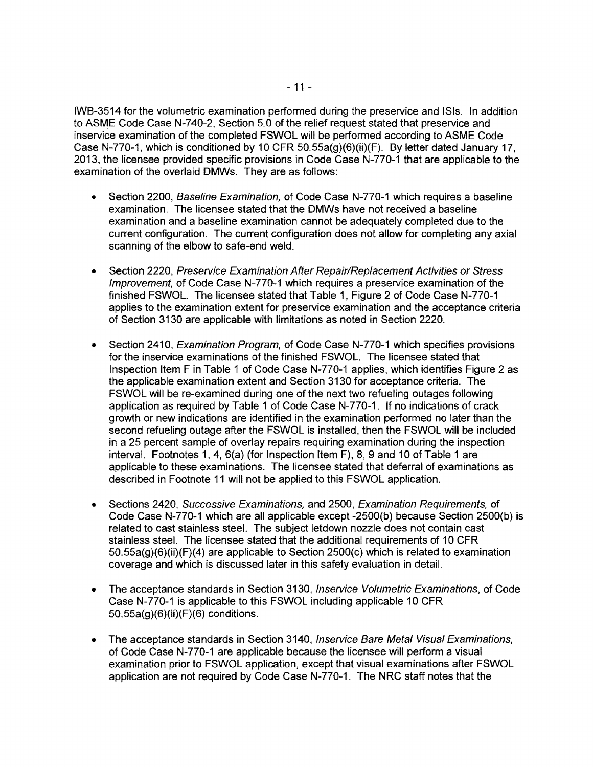IWB-3514 for the volumetric examination performed during the preservice and ISis. In addition to ASME Code Case N-740-2, Section 5.0 of the relief request stated that preservice and inservice examination of the completed FSWOL will be performed according to ASME Code Case N-770-1, which is conditioned by 10 CFR 50.55a(g)(6)(ii)(F). By letter dated January 17, 2013, the licensee provided specific provisions in Code Case N-770-1 that are applicable to the examination of the overlaid DMWs. They are as follows:

- Section 2200, Baseline Examination, of Code Case N-770-1 which requires a baseline examination. The licensee stated that the DMWs have not received a baseline examination and a baseline examination cannot be adequately completed due to the current configuration. The current configuration does not allow for completing any axial scanning of the elbow to safe-end weld.
- Section 2220, Preservice Examination After Repair/Replacement Activities or Stress Improvement, of Code Case N-770-1 which requires a preservice examination of the finished FSWOL. The licensee stated that Table 1, Figure 2 of Code Case N-770-1 applies to the examination extent for preservice examination and the acceptance criteria of Section 3130 are applicable with limitations as noted in Section 2220.
- Section 2410, *Examination Program*, of Code Case N-770-1 which specifies provisions for the inservice examinations of the finished FSWOL. The licensee stated that Inspection Item F in Table 1 of Code Case N-770-1 applies, which identifies Figure 2 as the applicable examination extent and Section 3130 for acceptance criteria. The FSWOL will be re-examined during one of the next two refueling outages following application as required by Table 1 of Code Case N-770-1, If no indications of crack growth or new indications are identified in the examination performed no later than the second refueling outage after the FSWOL is installed, then the FSWOL will be included in a 25 percent sample of overlay repairs requiring examination during the inspection interval. Footnotes 1, 4, 6(a) (for Inspection Item F), 8, 9 and 10 of Table 1 are applicable to these examinations. The licensee stated that deferral of examinations as described in Footnote 11 will not be applied to this FSWOL application.
- Sections 2420, Successive Examinations, and 2500, Examination Requirements, of Code Case N-770-1 which are all applicable except -2500(b) because Section 2500(b) is related to cast stainless steel. The subject letdown nozzle does not contain cast stainless steel. The licensee stated that the additional requirements of 10 CFR 50,55a(g)(6)(ii)(F)(4) are applicable to Section 2500(c) which is related to examination coverage and which is discussed later in this safety evaluation in detail.
- The acceptance standards in Section 3130, Inservice Volumetric Examinations, of Code Case N-770-1 is applicable to this FSWOL including applicable 10 CFR 50.55a(g)(6)(ii)(F)(6) conditions.
- The acceptance standards in Section 3140, Inservice Bare Metal Visual Examinations, of Code Case N-770-1 are applicable because the licensee will perform a visual examination prior to FSWOL application, except that visual examinations after FSWOL application are not required by Code Case N-770-1. The NRC staff notes that the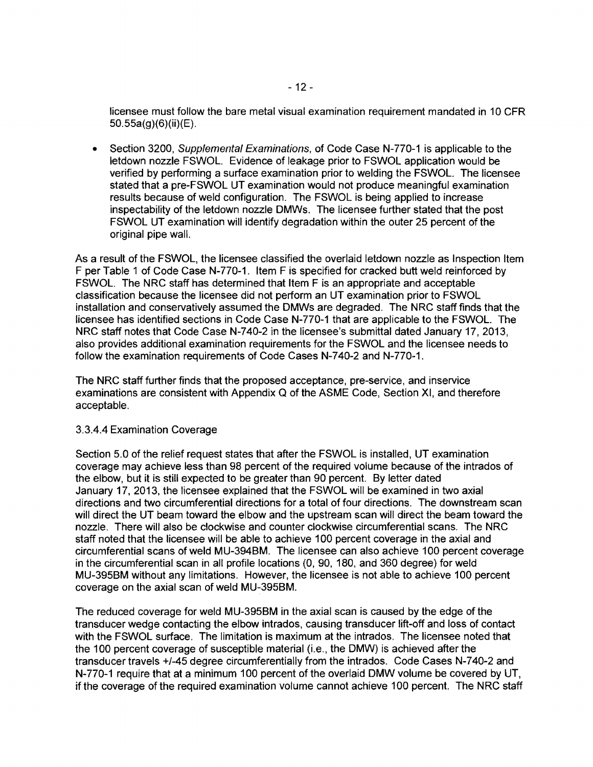licensee must follow the bare metal visual examination requirement mandated in 10 CFR 50.55a(g)(6)(ii)(E) .

• Section 3200, Supplemental Examinations, of Code Case N-770-1 is applicable to the letdown nozzle FSWOL. Evidence of leakage prior to FSWOL application would be verified by performing a surface examination prior to welding the FSWOL. The licensee stated that a pre-FSWOL UT examination would not produce meaningful examination results because of weld configuration. The FSWOL is being applied to increase inspectability of the letdown nozzle DMWs. The licensee further stated that the post FSWOL UT examination will identify degradation within the outer 25 percent of the original pipe wall.

As a result of the FSWOL, the licensee classified the overlaid letdown nozzle as Inspection Item F per Table 1 of Code Case N-770-1. Item F is specified for cracked butt weld reinforced by FSWOL. The NRC staff has determined that Item F is an appropriate and acceptable classification because the licensee did not perform an UT examination prior to FSWOL installation and conservatively assumed the DMWs are degraded. The NRC staff finds that the licensee has identified sections in Code Case N-770-1 that are applicable to the FSWOL. The NRC staff notes that Code Case N-740-2 in the licensee's submittal dated January 17, 2013, also provides additional examination requirements for the FSWOL and the licensee needs to follow the examination requirements of Code Cases N-740-2 and N-770-1.

The NRC staff further finds that the proposed acceptance, pre-service, and inservice examinations are consistent with Appendix Q of the ASME Code, Section XI, and therefore acceptable.

### 3.3.4.4 Examination Coverage

Section 5.0 of the relief request states that after the FSWOL is installed, UT examination coverage may achieve less than 98 percent of the required volume because of the intrados of the elbow, but it is still expected to be greater than 90 percent. By letter dated January 17, 2013, the licensee explained that the FSWOL will be examined in two axial directions and two circumferential directions for a total of four directions. The downstream scan will direct the UT beam toward the elbow and the upstream scan will direct the beam toward the nozzle. There will also be clockwise and counter clockwise circumferential scans. The NRC staff noted that the licensee will be able to achieve 100 percent coverage in the axial and circumferential scans of weld MU-394BM. The licensee can also achieve 100 percent coverage in the circumferential scan in all profile locations (0,90, 180, and 360 degree) for weld MU-395BM without any limitations. However, the licensee is not able to achieve 100 percent coverage on the axial scan of weld MU-395BM.

The reduced coverage for weld MU-395BM in the axial scan is caused by the edge of the transducer wedge contacting the elbow intrados, causing transducer lift-off and loss of contact with the FSWOL surface. The limitation is maximum at the intrados. The licensee noted that the 100 percent coverage of susceptible material (i.e., the DMW) is achieved after the transducer travels +/-45 degree circumferentially from the intrados. Code Cases N-740-2 and N-770-1 require that at a minimum 100 percent of the overlaid DMW volume be covered by UT, if the coverage of the required examination volume cannot achieve 100 percent. The NRC staff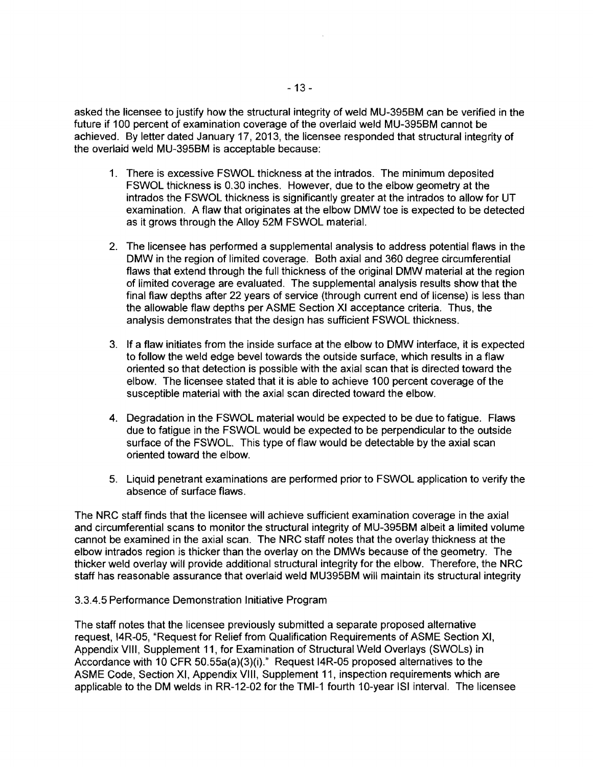asked the licensee to justify how the structural integrity of weld MU-39SBM can be verified in the future if 100 percent of examination coverage of the overlaid weld MU-39SBM cannot be achieved. By letter dated January 17, 2013, the licensee responded that structural integrity of the overlaid weld MU-39SBM is acceptable because:

- 1. There is excessive FSWOL thickness at the intrados. The minimum deposited FSWOL thickness is 0.30 inches. However, due to the elbow geometry at the intrados the FSWOL thickness is significantly greater at the intrados to allow for UT examination. A flaw that originates at the elbow DMW toe is expected to be detected as it grows through the Alloy S2M FSWOL material.
- 2. The licensee has performed a supplemental analysis to address potential flaws in the DMW in the region of limited coverage. Both axial and 360 degree circumferential flaws that extend through the full thickness of the original DMW material at the region of limited coverage are evaluated. The supplemental analysis results show that the final flaw depths after 22 years of service (through current end of license) is less than the allowable flaw depths per ASME Section XI acceptance criteria. Thus, the analysis demonstrates that the design has sufficient FSWOL thickness.
- 3. If a flaw initiates from the inside surface at the elbow to DMW interface, it is expected to follow the weld edge bevel towards the outside surface, which results in a flaw oriented so that detection is possible with the axial scan that is directed toward the elbow. The licensee stated that it is able to achieve 100 percent coverage of the susceptible material with the axial scan directed toward the elbow.
- 4. Degradation in the FSWOL material would be expected to be due to fatigue. Flaws due to fatigue in the FSWOL would be expected to be perpendicular to the outside surface of the FSWOL. This type of flaw would be detectable by the axial scan oriented toward the elbow.
- S. Liquid penetrant examinations are performed prior to FSWOL application to verify the absence of surface flaws.

The NRC staff finds that the licensee will achieve sufficient examination coverage in the axial and circumferential scans to monitor the structural integrity of MU-39SBM albeit a limited volume cannot be examined in the axial scan. The NRC staff notes that the overlay thickness at the elbow intrados region is thicker than the overlay on the DMWs because of the geometry. The thicker weld overlay will provide additional structural integrity for the elbow. Therefore, the NRC staff has reasonable assurance that overlaid weld MU39SBM will maintain its structural integrity

#### 3.3.4.S Performance Demonstration Initiative Program

The staff notes that the licensee previously submitted a separate proposed alternative request, 14R-OS, "Request for Relief from Qualification Requirements of ASME Section XI, Appendix VIII, Supplement 11, for Examination of Structural Weld Overlays (SWOLs) in Accordance with 10 CFR SO.SSa(a)(3)(i)." Request 14R-OS proposed alternatives to the ASME Code, Section XI, Appendix VIII, Supplement 11, inspection requirements which are applicable to the DM welds in RR-12-02 for the TMI-1 fourth 10-year lSI interval. The licensee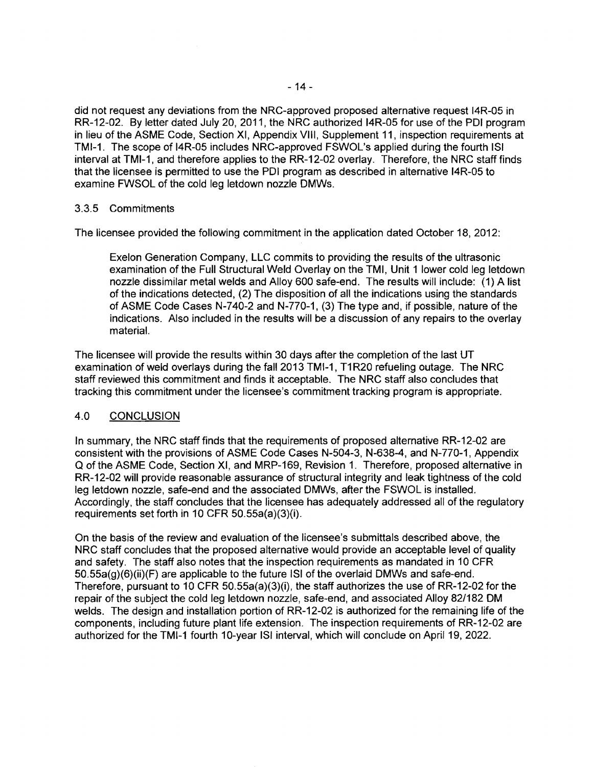did not request any deviations from the NRC-approved proposed alternative request 14R-05 in RR-12-02. By letter dated July 20,2011, the NRC authorized 14R-05 for use of the POI program in lieu of the ASME Code, Section XI, Appendix VIII, Supplement 11, inspection requirements at TMI-1. The scope of 14R-05 includes NRC-approved FSWOL's applied during the fourth lSI interval at TMI-1, and therefore applies to the RR-12-02 overlay. Therefore, the NRC staff finds that the licensee is permitted to use the POI program as described in alternative 14R-05 to examine FWSOL of the cold leg letdown nozzle DMWs.

### 3.3.5 Commitments

The licensee provided the following commitment in the application dated October 18, 2012:

Exelon Generation Company, LLC commits to providing the results of the ultrasonic examination of the Full Structural Weld Overlay on the TMI, Unit 1 lower cold leg letdown nozzle dissimilar metal welds and Alloy 600 safe-end. The results will include: (1) A list of the indications detected, (2) The disposition of all the indications using the standards of ASME Code Cases N-740-2 and N-770-1, (3) The type and, if possible, nature of the indications. Also included in the results will be a discussion of any repairs to the overlay material.

The licensee will provide the results within 30 days after the completion of the last UT examination of weld overlays during the fall 2013 TMI-1, T1R20 refueling outage. The NRC staff reviewed this commitment and finds it acceptable. The NRC staff also concludes that tracking this commitment under the licensee's commitment tracking program is appropriate.

### 4.0 CONCLUSION

In summary, the NRC staff finds that the requirements of proposed alternative RR-12-02 are consistent with the provisions of ASME Code Cases N-504-3, N-638-4, and N-770-1, Appendix Q of the ASME Code, Section XI, and MRP-169, Revision 1. Therefore, proposed alternative in RR-12-02 will provide reasonable assurance of structural integrity and leak tightness of the cold leg letdown nozzle, safe-end and the associated DMWs, after the FSWOL is installed. Accordingly, the staff concludes that the licensee has adequately addressed all of the regulatory requirements set forth in 10 CFR 50.55a(a)(3)(i).

On the basis of the review and evaluation of the licensee's submittals described above, the NRC staff concludes that the proposed alternative would provide an acceptable level of quality and safety. The staff also notes that the inspection requirements as mandated in 10 CFR  $50.55a(g)(6)(ii)(F)$  are applicable to the future ISI of the overlaid DMWs and safe-end. Therefore, pursuant to 10 CFR 50.55a(a)(3)(i), the staff authorizes the use of RR-12-02 for the repair of the subject the cold leg letdown nozzle, safe-end, and associated Alloy 82/182 OM welds. The design and installation portion of RR-12-02 is authorized for the remaining life of the components, including future plant life extension. The inspection requirements of RR-12-02 are authorized for the TMI-1 fourth 10-year lSI interval, which will conclude on April 19, 2022.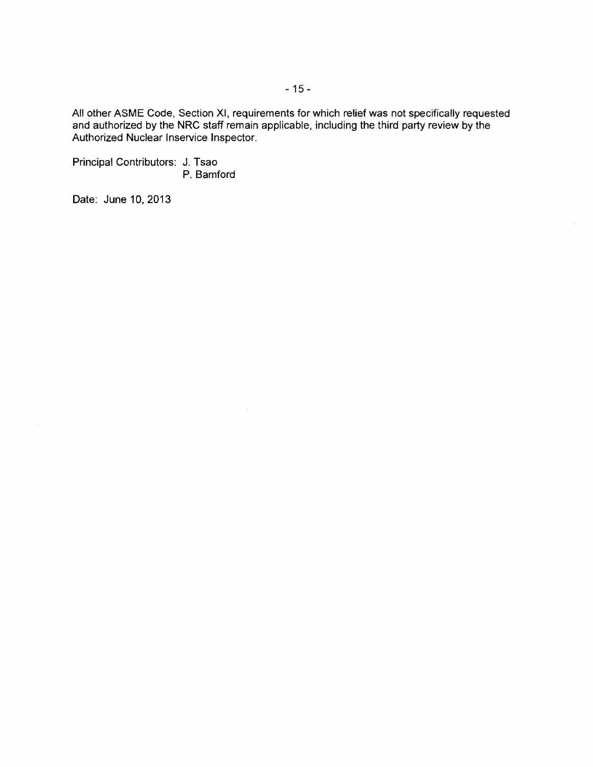All other ASME Code, Section XI, requirements for which relief was not specifically requested and authorized by the NRC staff remain applicable, including the third party review by the Authorized Nuclear Inservice Inspector.

Principal Contributors: J. Tsao P. Bamford

Date: June 10, 2013